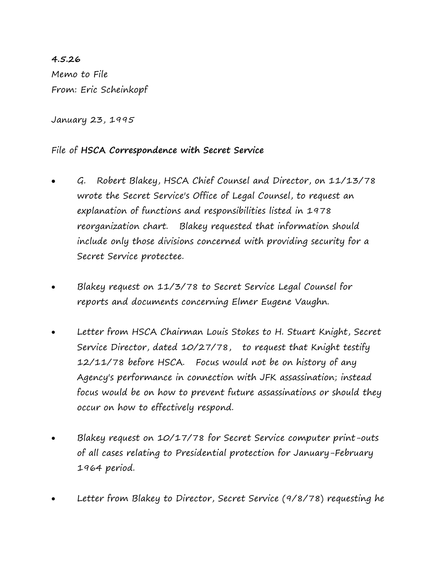**4.5.26** Memo to File From: Eric Scheinkopf

January 23, 1995

## File of **HSCA Correspondence with Secret Service**

- G. Robert Blakey, HSCA Chief Counsel and Director, on 11/13/78 wrote the Secret Service's Office of Legal Counsel, to request an explanation of functions and responsibilities listed in 1978 reorganization chart. Blakey requested that information should include only those divisions concerned with providing security for a Secret Service protectee.
- Blakey request on 11/3/78 to Secret Service Legal Counsel for reports and documents concerning Elmer Eugene Vaughn.
- Letter from HSCA Chairman Louis Stokes to H. Stuart Knight, Secret Service Director, dated 10/27/78, to request that Knight testify 12/11/78 before HSCA. Focus would not be on history of any Agency's performance in connection with JFK assassination; instead focus would be on how to prevent future assassinations or should they occur on how to effectively respond.
- Blakey request on 10/17/78 for Secret Service computer print-outs of all cases relating to Presidential protection for January-February 1964 period.
- Letter from Blakey to Director, Secret Service (9/8/78) requesting he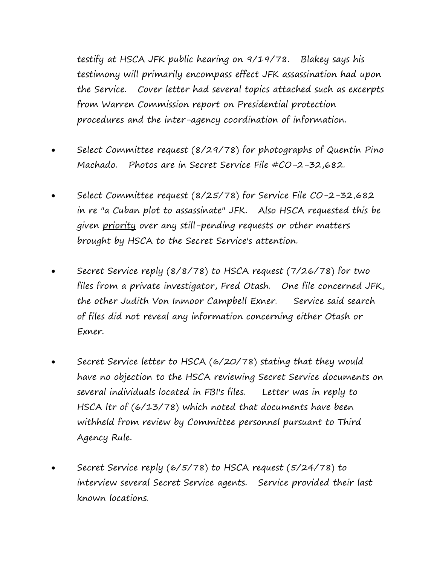testify at HSCA JFK public hearing on 9/19/78. Blakey says his testimony will primarily encompass effect JFK assassination had upon the Service. Cover letter had several topics attached such as excerpts from Warren Commission report on Presidential protection procedures and the inter-agency coordination of information.

- Select Committee request (8/29/78) for photographs of Quentin Pino Machado. Photos are in Secret Service File #CO-2-32,682.
- Select Committee request (8/25/78) for Service File CO-2-32,682 in re "a Cuban plot to assassinate" JFK. Also HSCA requested this be given priority over any still-pending requests or other matters brought by HSCA to the Secret Service's attention.
- Secret Service reply (8/8/78) to HSCA request (7/26/78) for two files from a private investigator, Fred Otash. One file concerned JFK, the other Judith Von Inmoor Campbell Exner. Service said search of files did not reveal any information concerning either Otash or Exner.
- Secret Service letter to HSCA (6/20/78) stating that they would have no objection to the HSCA reviewing Secret Service documents on several individuals located in FBI's files. Letter was in reply to HSCA ltr of (6/13/78) which noted that documents have been withheld from review by Committee personnel pursuant to Third Agency Rule.
- Secret Service reply (6/5/78) to HSCA request (5/24/78) to interview several Secret Service agents. Service provided their last known locations.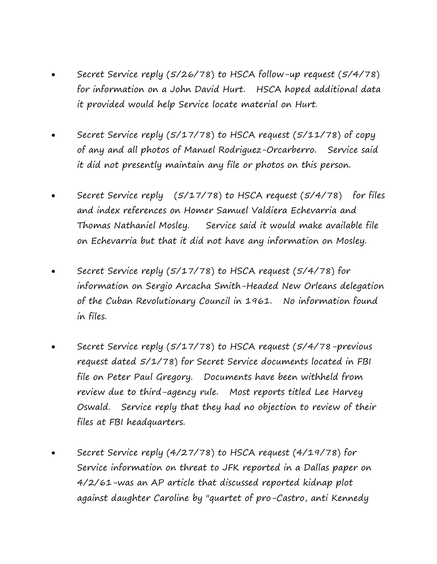- Secret Service reply (5/26/78) to HSCA follow-up request (5/4/78) for information on a John David Hurt. HSCA hoped additional data it provided would help Service locate material on Hurt.
- Secret Service reply (5/17/78) to HSCA request (5/11/78) of copy of any and all photos of Manuel Rodriguez-Orcarberro. Service said it did not presently maintain any file or photos on this person.
- Secret Service reply (5/17/78) to HSCA request (5/4/78) for files and index references on Homer Samuel Valdiera Echevarria and Thomas Nathaniel Mosley. Service said it would make available file on Echevarria but that it did not have any information on Mosley.
- Secret Service reply (5/17/78) to HSCA request (5/4/78) for information on Sergio Arcacha Smith-Headed New Orleans delegation of the Cuban Revolutionary Council in 1961. No information found in files.
- Secret Service reply (5/17/78) to HSCA request (5/4/78-previous request dated 5/1/78) for Secret Service documents located in FBI file on Peter Paul Gregory. Documents have been withheld from review due to third-agency rule. Most reports titled Lee Harvey Oswald. Service reply that they had no objection to review of their files at FBI headquarters.
- Secret Service reply (4/27/78) to HSCA request (4/19/78) for Service information on threat to JFK reported in a Dallas paper on 4/2/61-was an AP article that discussed reported kidnap plot against daughter Caroline by "quartet of pro-Castro, anti Kennedy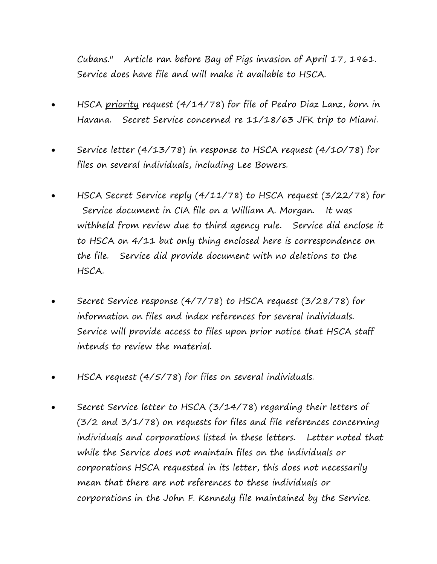Cubans." Article ran before Bay of Pigs invasion of April 17, 1961. Service does have file and will make it available to HSCA.

- HSCA priority request (4/14/78) for file of Pedro Diaz Lanz, born in Havana. Secret Service concerned re 11/18/63 JFK trip to Miami.
- Service letter (4/13/78) in response to HSCA request (4/10/78) for files on several individuals, including Lee Bowers.
- HSCA Secret Service reply (4/11/78) to HSCA request (3/22/78) for Service document in CIA file on a William A. Morgan. It was withheld from review due to third agency rule. Service did enclose it to HSCA on 4/11 but only thing enclosed here is correspondence on the file. Service did provide document with no deletions to the HSCA.
- Secret Service response (4/7/78) to HSCA request (3/28/78) for information on files and index references for several individuals. Service will provide access to files upon prior notice that HSCA staff intends to review the material.
- HSCA request (4/5/78) for files on several individuals.
- Secret Service letter to HSCA (3/14/78) regarding their letters of (3/2 and 3/1/78) on requests for files and file references concerning individuals and corporations listed in these letters. Letter noted that while the Service does not maintain files on the individuals or corporations HSCA requested in its letter, this does not necessarily mean that there are not references to these individuals or corporations in the John F. Kennedy file maintained by the Service.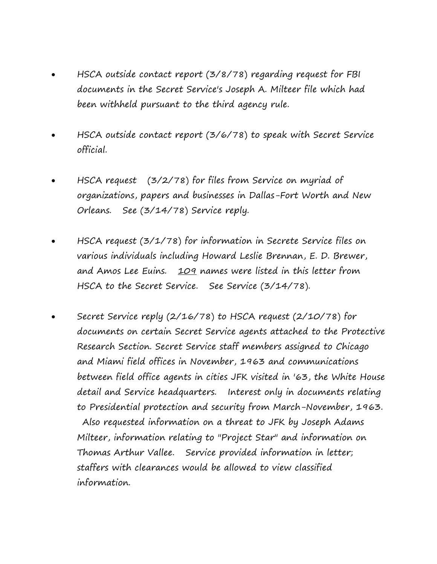- HSCA outside contact report (3/8/78) regarding request for FBI documents in the Secret Service's Joseph A. Milteer file which had been withheld pursuant to the third agency rule.
- HSCA outside contact report (3/6/78) to speak with Secret Service official.
- HSCA request (3/2/78) for files from Service on myriad of organizations, papers and businesses in Dallas-Fort Worth and New Orleans. See (3/14/78) Service reply.
- HSCA request (3/1/78) for information in Secrete Service files on various individuals including Howard Leslie Brennan, E. D. Brewer, and Amos Lee Euins. 109 names were listed in this letter from HSCA to the Secret Service. See Service (3/14/78).
- Secret Service reply (2/16/78) to HSCA request (2/10/78) for documents on certain Secret Service agents attached to the Protective Research Section. Secret Service staff members assigned to Chicago and Miami field offices in November, 1963 and communications between field office agents in cities JFK visited in '63, the White House detail and Service headquarters. Interest only in documents relating to Presidential protection and security from March-November, 1963. Also requested information on a threat to JFK by Joseph Adams Milteer, information relating to "Project Star" and information on Thomas Arthur Vallee. Service provided information in letter; staffers with clearances would be allowed to view classified information.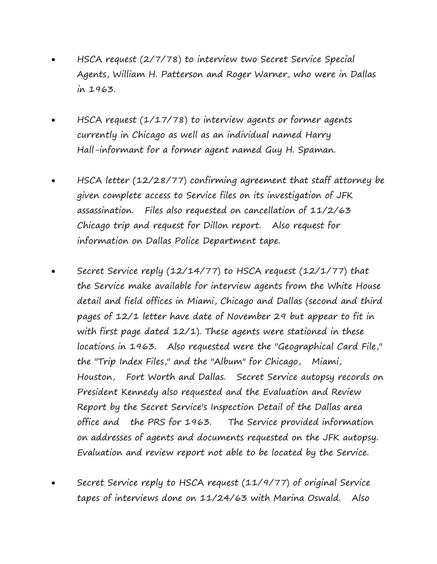- HSCA request (2/7/78) to interview two Secret Service Special Agents, William H. Patterson and Roger Warner, who were in Dallas in 1963.
- HSCA request (1/17/78) to interview agents or former agents currently in Chicago as well as an individual named Harry Hall-informant for a former agent named Guy H. Spaman.
- HSCA letter (12/28/77) confirming agreement that staff attorney be given complete access to Service files on its investigation of JFK assassination. Files also requested on cancellation of 11/2/63 Chicago trip and request for Dillon report. Also request for information on Dallas Police Department tape.
- Secret Service reply (12/14/77) to HSCA request (12/1/77) that the Service make available for interview agents from the White House detail and field offices in Miami, Chicago and Dallas (second and third pages of 12/1 letter have date of November 29 but appear to fit in with first page dated 12/1). These agents were stationed in these locations in 1963. Also requested were the "Geographical Card File," the "Trip Index Files," and the "Album" for Chicago, Miami, Houston, Fort Worth and Dallas. Secret Service autopsy records on President Kennedy also requested and the Evaluation and Review Report by the Secret Service's Inspection Detail of the Dallas area office and the PRS for 1963. The Service provided information on addresses of agents and documents requested on the JFK autopsy. Evaluation and review report not able to be located by the Service.
- Secret Service reply to HSCA request (11/9/77) of original Service tapes of interviews done on 11/24/63 with Marina Oswald. Also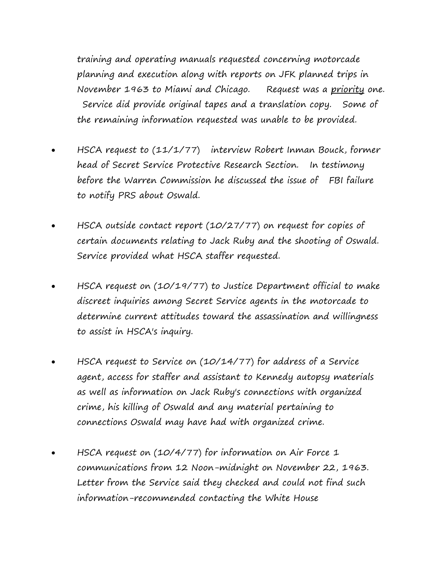training and operating manuals requested concerning motorcade planning and execution along with reports on JFK planned trips in November 1963 to Miami and Chicago. Request was a priority one. Service did provide original tapes and a translation copy. Some of the remaining information requested was unable to be provided.

- HSCA request to (11/1/77) interview Robert Inman Bouck, former head of Secret Service Protective Research Section. In testimony before the Warren Commission he discussed the issue of FBI failure to notify PRS about Oswald.
- HSCA outside contact report (10/27/77) on request for copies of certain documents relating to Jack Ruby and the shooting of Oswald. Service provided what HSCA staffer requested.
- HSCA request on (10/19/77) to Justice Department official to make discreet inquiries among Secret Service agents in the motorcade to determine current attitudes toward the assassination and willingness to assist in HSCA's inquiry.
- HSCA request to Service on (10/14/77) for address of a Service agent, access for staffer and assistant to Kennedy autopsy materials as well as information on Jack Ruby's connections with organized crime, his killing of Oswald and any material pertaining to connections Oswald may have had with organized crime.
- HSCA request on (10/4/77) for information on Air Force 1 communications from 12 Noon-midnight on November 22, 1963. Letter from the Service said they checked and could not find such information-recommended contacting the White House